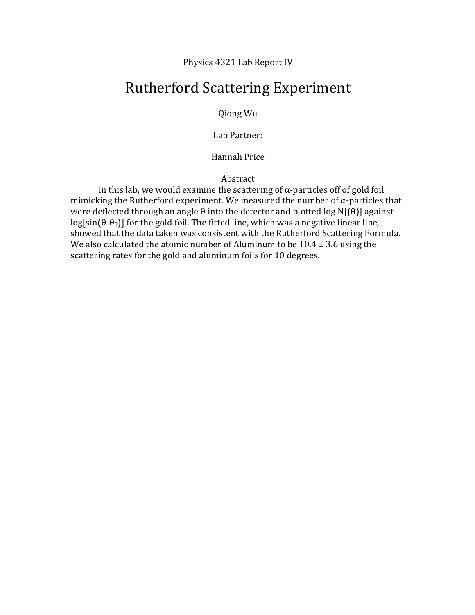Physics 4321 Lab Report IV

# Rutherford Scattering Experiment

Qiong Wu

Lab Partner: 

Hannah Price

Abstract

In this lab, we would examine the scattering of  $\alpha$ -particles off of gold foil mimicking the Rutherford experiment. We measured the number of  $\alpha$ -particles that were deflected through an angle  $\theta$  into the detector and plotted log N[( $\theta$ )] against log[sin( $\theta$ - $\theta$ <sub>0</sub>)] for the gold foil. The fitted line, which was a negative linear line, showed that the data taken was consistent with the Rutherford Scattering Formula. We also calculated the atomic number of Aluminum to be  $10.4 \pm 3.6$  using the scattering rates for the gold and aluminum foils for 10 degrees.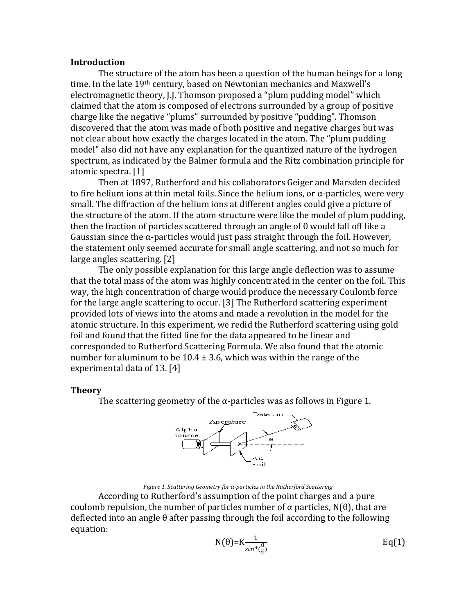#### **Introduction**

The structure of the atom has been a question of the human beings for a long time. In the late 19<sup>th</sup> century, based on Newtonian mechanics and Maxwell's electromagnetic theory, J.J. Thomson proposed a "plum pudding model" which claimed that the atom is composed of electrons surrounded by a group of positive charge like the negative "plums" surrounded by positive "pudding". Thomson discovered that the atom was made of both positive and negative charges but was not clear about how exactly the charges located in the atom. The "plum pudding" model" also did not have any explanation for the quantized nature of the hydrogen spectrum, as indicated by the Balmer formula and the Ritz combination principle for atomic spectra. [1]

Then at 1897, Rutherford and his collaborators Geiger and Marsden decided to fire helium ions at thin metal foils. Since the helium ions, or  $\alpha$ -particles, were very small. The diffraction of the helium ions at different angles could give a picture of the structure of the atom. If the atom structure were like the model of plum pudding, then the fraction of particles scattered through an angle of  $\theta$  would fall off like a Gaussian since the  $\alpha$ -particles would just pass straight through the foil. However, the statement only seemed accurate for small angle scattering, and not so much for large angles scattering.  $[2]$ 

The only possible explanation for this large angle deflection was to assume that the total mass of the atom was highly concentrated in the center on the foil. This way, the high concentration of charge would produce the necessary Coulomb force for the large angle scattering to occur. [3] The Rutherford scattering experiment provided lots of views into the atoms and made a revolution in the model for the atomic structure. In this experiment, we redid the Rutherford scattering using gold foil and found that the fitted line for the data appeared to be linear and corresponded to Rutherford Scattering Formula. We also found that the atomic number for aluminum to be  $10.4 \pm 3.6$ , which was within the range of the experimental data of 13.  $[4]$ 

### **Theory**

The scattering geometry of the  $\alpha$ -particles was as follows in Figure 1.



#### *Figure 1. Scattering Geometry for α-particles in the Rutherford Scattering*

According to Rutherford's assumption of the point charges and a pure coulomb repulsion, the number of particles number of  $\alpha$  particles, N( $\theta$ ), that are deflected into an angle  $\theta$  after passing through the foil according to the following equation:

$$
N(\theta) = K \frac{1}{\sin^4(\frac{\theta}{2})}
$$
 Eq(1)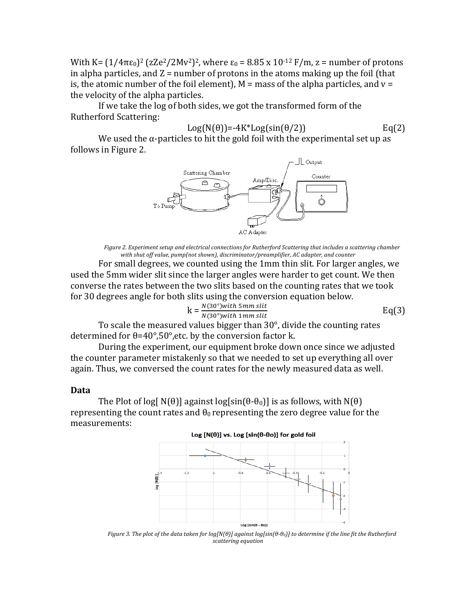With K=  $(1/4πε_0)^2$  (zZe<sup>2</sup>/2Mv<sup>2</sup>)<sup>2</sup>, where  $ε_0$  = 8.85 x 10<sup>-12</sup> F/m, z = number of protons in alpha particles, and  $Z =$  number of protons in the atoms making up the foil (that is, the atomic number of the foil element),  $M =$  mass of the alpha particles, and  $v =$ the velocity of the alpha particles.

If we take the log of both sides, we got the transformed form of the Rutherford Scattering:

$$
Log(N(\theta)) = -4K^*Log(sin(\theta/2))
$$

 $Eq(2)$ 

We used the  $\alpha$ -particles to hit the gold foil with the experimental set up as follows in Figure 2.



*Figure 2. Experiment setup and electrical connections for Rutherford Scattering that includes a scattering chamber* with shut off value, pump(not shown), discriminator/preamplifier, AC adapter, and counter

For small degrees, we counted using the 1mm thin slit. For larger angles, we used the 5mm wider slit since the larger angles were harder to get count. We then converse the rates between the two slits based on the counting rates that we took for 30 degrees angle for both slits using the conversion equation below.

$$
k = \frac{N(30^{\circ}) with 5mm slit}{N(30^{\circ}) with 1mm slit}
$$
 Eq(3)

To scale the measured values bigger than  $30^{\circ}$ , divide the counting rates determined for  $\theta$ =40°,50°,etc. by the conversion factor k.

During the experiment, our equipment broke down once since we adjusted the counter parameter mistakenly so that we needed to set up everything all over again. Thus, we conversed the count rates for the newly measured data as well.

#### **Data**

The Plot of log[ $N(\theta)$ ] against log[ $sin(\theta - \theta_0)$ ] is as follows, with  $N(\theta)$ representing the count rates and  $\theta_0$  representing the zero degree value for the measurements:



*Figure* 3. The plot of the data taken for log[N(θ)] against log[sin(θ-θo)] to determine if the line fit the Rutherford *scattering equation*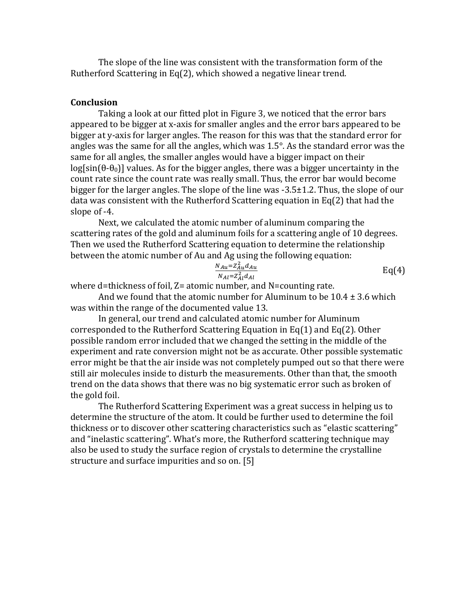The slope of the line was consistent with the transformation form of the Rutherford Scattering in Eq(2), which showed a negative linear trend.

## **Conclusion**

Taking a look at our fitted plot in Figure 3, we noticed that the error bars appeared to be bigger at x-axis for smaller angles and the error bars appeared to be bigger at y-axis for larger angles. The reason for this was that the standard error for angles was the same for all the angles, which was  $1.5^\circ$ . As the standard error was the same for all angles, the smaller angles would have a bigger impact on their  $log[sin(\theta-\theta_0)]$  values. As for the bigger angles, there was a bigger uncertainty in the count rate since the count rate was really small. Thus, the error bar would become bigger for the larger angles. The slope of the line was  $-3.5\pm1.2$ . Thus, the slope of our data was consistent with the Rutherford Scattering equation in  $Eq(2)$  that had the slope of -4.

Next, we calculated the atomic number of aluminum comparing the scattering rates of the gold and aluminum foils for a scattering angle of 10 degrees. Then we used the Rutherford Scattering equation to determine the relationship between the atomic number of Au and Ag using the following equation:

$$
\frac{N_{Au} = Z_{Au}^2 d_{Au}}{N_{Al} = Z_{Al}^2 d_{Al}}
$$
 Eq(4)

where d=thickness of foil,  $Z=$  atomic number, and N=counting rate.

And we found that the atomic number for Aluminum to be  $10.4 \pm 3.6$  which was within the range of the documented value 13.

In general, our trend and calculated atomic number for Aluminum corresponded to the Rutherford Scattering Equation in Eq(1) and Eq(2). Other possible random error included that we changed the setting in the middle of the experiment and rate conversion might not be as accurate. Other possible systematic error might be that the air inside was not completely pumped out so that there were still air molecules inside to disturb the measurements. Other than that, the smooth trend on the data shows that there was no big systematic error such as broken of the gold foil.

The Rutherford Scattering Experiment was a great success in helping us to determine the structure of the atom. It could be further used to determine the foil thickness or to discover other scattering characteristics such as "elastic scattering" and "inelastic scattering". What's more, the Rutherford scattering technique may also be used to study the surface region of crystals to determine the crystalline structure and surface impurities and so on. [5]